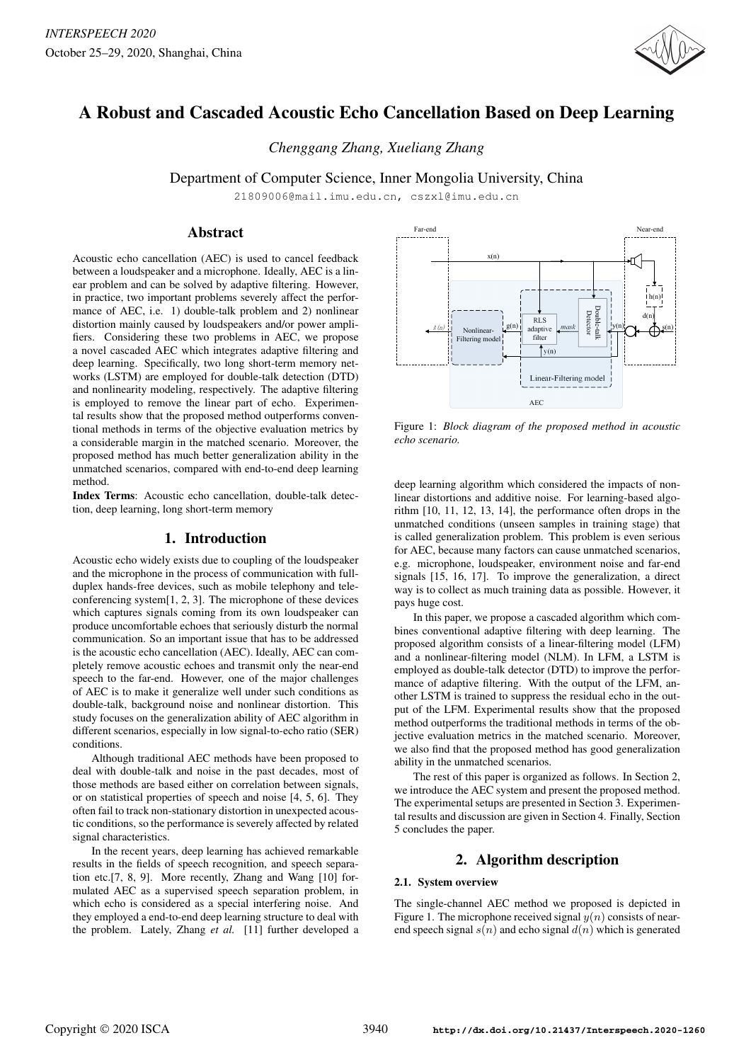

# A Robust and Cascaded Acoustic Echo Cancellation Based on Deep Learning

*Chenggang Zhang, Xueliang Zhang*

Department of Computer Science, Inner Mongolia University, China

21809006@mail.imu.edu.cn, cszxl@imu.edu.cn

# Abstract

Acoustic echo cancellation (AEC) is used to cancel feedback between a loudspeaker and a microphone. Ideally, AEC is a linear problem and can be solved by adaptive filtering. However, in practice, two important problems severely affect the performance of AEC, i.e. 1) double-talk problem and 2) nonlinear distortion mainly caused by loudspeakers and/or power amplifiers. Considering these two problems in AEC, we propose a novel cascaded AEC which integrates adaptive filtering and deep learning. Specifically, two long short-term memory networks (LSTM) are employed for double-talk detection (DTD) and nonlinearity modeling, respectively. The adaptive filtering is employed to remove the linear part of echo. Experimental results show that the proposed method outperforms conventional methods in terms of the objective evaluation metrics by a considerable margin in the matched scenario. Moreover, the proposed method has much better generalization ability in the unmatched scenarios, compared with end-to-end deep learning method.

Index Terms: Acoustic echo cancellation, double-talk detection, deep learning, long short-term memory

# 1. Introduction

Acoustic echo widely exists due to coupling of the loudspeaker and the microphone in the process of communication with fullduplex hands-free devices, such as mobile telephony and teleconferencing system[1, 2, 3]. The microphone of these devices which captures signals coming from its own loudspeaker can produce uncomfortable echoes that seriously disturb the normal communication. So an important issue that has to be addressed is the acoustic echo cancellation (AEC). Ideally, AEC can completely remove acoustic echoes and transmit only the near-end speech to the far-end. However, one of the major challenges of AEC is to make it generalize well under such conditions as double-talk, background noise and nonlinear distortion. This study focuses on the generalization ability of AEC algorithm in different scenarios, especially in low signal-to-echo ratio (SER) conditions.

Although traditional AEC methods have been proposed to deal with double-talk and noise in the past decades, most of those methods are based either on correlation between signals, or on statistical properties of speech and noise [4, 5, 6]. They often fail to track non-stationary distortion in unexpected acoustic conditions, so the performance is severely affected by related signal characteristics.

In the recent years, deep learning has achieved remarkable results in the fields of speech recognition, and speech separation etc.[7, 8, 9]. More recently, Zhang and Wang [10] formulated AEC as a supervised speech separation problem, in which echo is considered as a special interfering noise. And they employed a end-to-end deep learning structure to deal with the problem. Lately, Zhang *et al.* [11] further developed a



Figure 1: *Block diagram of the proposed method in acoustic echo scenario.*

deep learning algorithm which considered the impacts of nonlinear distortions and additive noise. For learning-based algorithm [10, 11, 12, 13, 14], the performance often drops in the unmatched conditions (unseen samples in training stage) that is called generalization problem. This problem is even serious for AEC, because many factors can cause unmatched scenarios, e.g. microphone, loudspeaker, environment noise and far-end signals [15, 16, 17]. To improve the generalization, a direct way is to collect as much training data as possible. However, it pays huge cost.

In this paper, we propose a cascaded algorithm which combines conventional adaptive filtering with deep learning. The proposed algorithm consists of a linear-filtering model (LFM) and a nonlinear-filtering model (NLM). In LFM, a LSTM is employed as double-talk detector (DTD) to improve the performance of adaptive filtering. With the output of the LFM, another LSTM is trained to suppress the residual echo in the output of the LFM. Experimental results show that the proposed method outperforms the traditional methods in terms of the objective evaluation metrics in the matched scenario. Moreover, we also find that the proposed method has good generalization ability in the unmatched scenarios.

The rest of this paper is organized as follows. In Section 2, we introduce the AEC system and present the proposed method. The experimental setups are presented in Section 3. Experimental results and discussion are given in Section 4. Finally, Section 5 concludes the paper.

# 2. Algorithm description

# 2.1. System overview

The single-channel AEC method we proposed is depicted in Figure 1. The microphone received signal  $y(n)$  consists of nearend speech signal  $s(n)$  and echo signal  $d(n)$  which is generated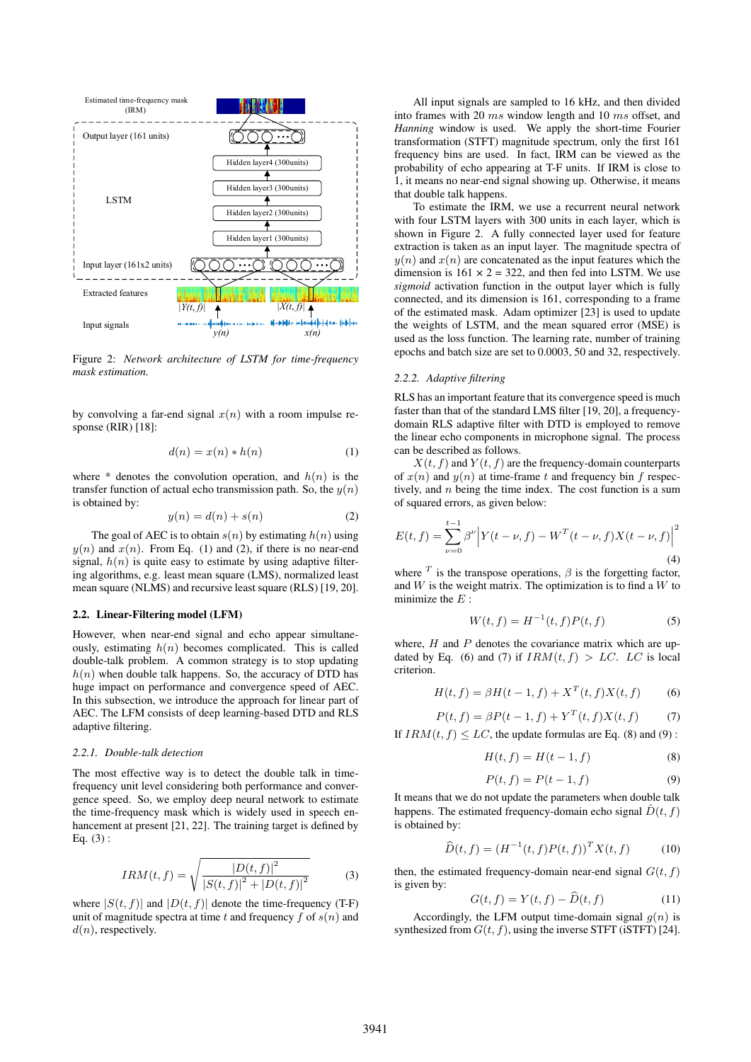

Figure 2: *Network architecture of LSTM for time-frequency mask estimation.*

by convolving a far-end signal  $x(n)$  with a room impulse response (RIR) [18]:

$$
d(n) = x(n) * h(n)
$$
 (1)

where  $*$  denotes the convolution operation, and  $h(n)$  is the transfer function of actual echo transmission path. So, the  $y(n)$ is obtained by:

$$
y(n) = d(n) + s(n) \tag{2}
$$

The goal of AEC is to obtain  $s(n)$  by estimating  $h(n)$  using  $y(n)$  and  $x(n)$ . From Eq. (1) and (2), if there is no near-end signal,  $h(n)$  is quite easy to estimate by using adaptive filtering algorithms, e.g. least mean square (LMS), normalized least mean square (NLMS) and recursive least square (RLS) [19, 20].

#### 2.2. Linear-Filtering model (LFM)

However, when near-end signal and echo appear simultaneously, estimating  $h(n)$  becomes complicated. This is called double-talk problem. A common strategy is to stop updating  $h(n)$  when double talk happens. So, the accuracy of DTD has huge impact on performance and convergence speed of AEC. In this subsection, we introduce the approach for linear part of AEC. The LFM consists of deep learning-based DTD and RLS adaptive filtering.

#### *2.2.1. Double-talk detection*

The most effective way is to detect the double talk in timefrequency unit level considering both performance and convergence speed. So, we employ deep neural network to estimate the time-frequency mask which is widely used in speech enhancement at present [21, 22]. The training target is defined by Eq. (3) :

$$
IRM(t, f) = \sqrt{\frac{|D(t, f)|^2}{|S(t, f)|^2 + |D(t, f)|^2}}
$$
(3)

where  $|S(t, f)|$  and  $|D(t, f)|$  denote the time-frequency (T-F) unit of magnitude spectra at time t and frequency f of  $s(n)$  and  $d(n)$ , respectively.

All input signals are sampled to 16 kHz, and then divided into frames with 20 ms window length and 10 ms offset, and *Hanning* window is used. We apply the short-time Fourier transformation (STFT) magnitude spectrum, only the first 161 frequency bins are used. In fact, IRM can be viewed as the probability of echo appearing at T-F units. If IRM is close to 1, it means no near-end signal showing up. Otherwise, it means that double talk happens.

To estimate the IRM, we use a recurrent neural network with four LSTM layers with 300 units in each layer, which is shown in Figure 2. A fully connected layer used for feature extraction is taken as an input layer. The magnitude spectra of  $y(n)$  and  $x(n)$  are concatenated as the input features which the dimension is  $161 \times 2 = 322$ , and then fed into LSTM. We use *sigmoid* activation function in the output layer which is fully connected, and its dimension is 161, corresponding to a frame of the estimated mask. Adam optimizer  $[23]$  is used to update the weights of LSTM, and the mean squared error (MSE) is used as the loss function. The learning rate, number of training epochs and batch size are set to 0.0003, 50 and 32, respectively.

#### *2.2.2. Adaptive filtering*

RLS has an important feature that its convergence speed is much faster than that of the standard LMS filter [19, 20], a frequencydomain RLS adaptive filter with DTD is employed to remove the linear echo components in microphone signal. The process can be described as follows.

 $X(t, f)$  and  $Y(t, f)$  are the frequency-domain counterparts of  $x(n)$  and  $y(n)$  at time-frame t and frequency bin f respectively, and  $n$  being the time index. The cost function is a sum of squared errors, as given below:

$$
E(t,f) = \sum_{\nu=0}^{t-1} \beta^{\nu} \left| Y(t-\nu,f) - W^{T}(t-\nu,f)X(t-\nu,f) \right|^{2}
$$
\n(4)

where  $<sup>T</sup>$  is the transpose operations,  $\beta$  is the forgetting factor,</sup> and  $W$  is the weight matrix. The optimization is to find a  $W$  to minimize the  $E$ :

$$
W(t, f) = H^{-1}(t, f)P(t, f)
$$
\n(5)

where,  $H$  and  $P$  denotes the covariance matrix which are updated by Eq. (6) and (7) if  $IRM(t, f) > LC$ . LC is local criterion.

$$
H(t, f) = \beta H(t - 1, f) + X^{T}(t, f)X(t, f)
$$
 (6)

$$
P(t, f) = \beta P(t - 1, f) + Y^{T}(t, f)X(t, f)
$$
 (7)

If  $IRM(t, f) \leq LC$ , the update formulas are Eq. (8) and (9):

$$
H(t, f) = H(t - 1, f) \tag{8}
$$

$$
P(t,f) = P(t-1,f) \tag{9}
$$

It means that we do not update the parameters when double talk happens. The estimated frequency-domain echo signal  $\hat{D}(t, f)$ is obtained by:

$$
\widehat{D}(t,f) = (H^{-1}(t,f)P(t,f))^T X(t,f)
$$
\n(10)

then, the estimated frequency-domain near-end signal  $G(t, f)$ is given by:

$$
G(t, f) = Y(t, f) - D(t, f)
$$
 (11)

Accordingly, the LFM output time-domain signal  $q(n)$  is synthesized from  $G(t, f)$ , using the inverse STFT (iSTFT) [24].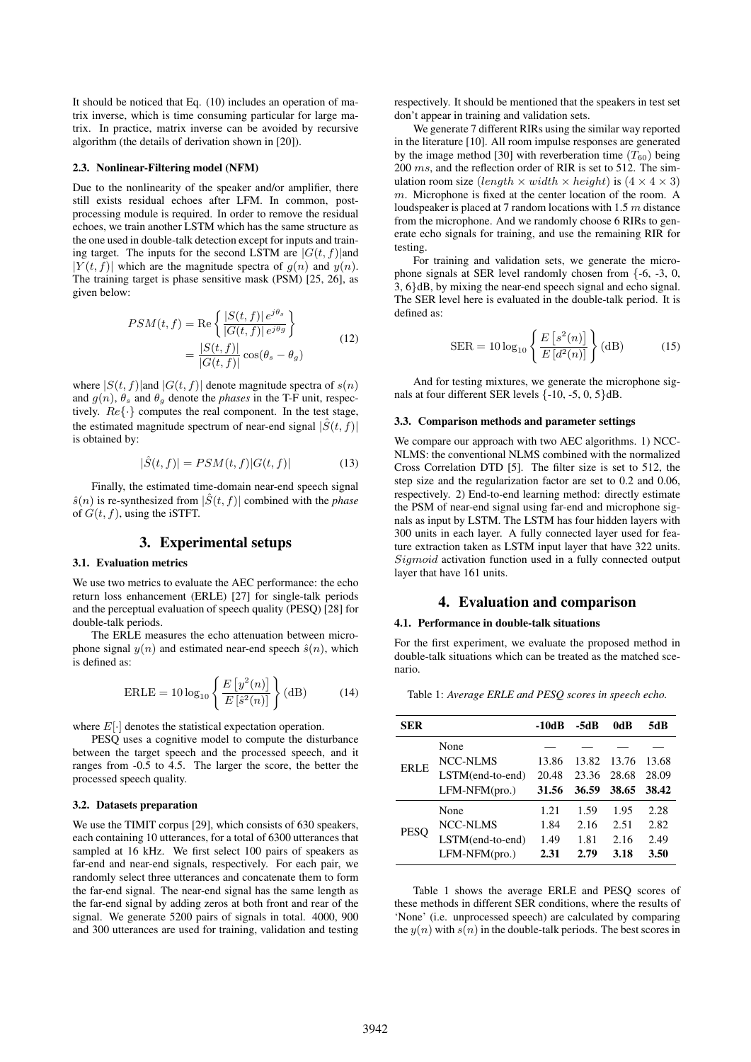It should be noticed that Eq. (10) includes an operation of matrix inverse, which is time consuming particular for large matrix. In practice, matrix inverse can be avoided by recursive algorithm (the details of derivation shown in [20]).

#### 2.3. Nonlinear-Filtering model (NFM)

Due to the nonlinearity of the speaker and/or amplifier, there still exists residual echoes after LFM. In common, postprocessing module is required. In order to remove the residual echoes, we train another LSTM which has the same structure as the one used in double-talk detection except for inputs and training target. The inputs for the second LSTM are  $|G(t, f)|$  and  $|Y(t, f)|$  which are the magnitude spectra of  $g(n)$  and  $y(n)$ . The training target is phase sensitive mask (PSM) [25, 26], as given below:

$$
PSM(t, f) = \text{Re}\left\{\frac{|S(t, f)| e^{j\theta_s}}{|G(t, f)| e^{j\theta_g}}\right\}
$$

$$
= \frac{|S(t, f)|}{|G(t, f)|} \cos(\theta_s - \theta_g)
$$
(12)

where  $|S(t, f)|$  and  $|G(t, f)|$  denote magnitude spectra of  $s(n)$ and  $g(n)$ ,  $\theta_s$  and  $\theta_q$  denote the *phases* in the T-F unit, respectively.  $Re\{\cdot\}$  computes the real component. In the test stage, the estimated magnitude spectrum of near-end signal  $|\hat{S}(t, f)|$ is obtained by:

$$
|\hat{S}(t,f)| = PSM(t,f)|G(t,f)|\tag{13}
$$

Finally, the estimated time-domain near-end speech signal  $\hat{s}(n)$  is re-synthesized from  $|\hat{S}(t, f)|$  combined with the *phase* of  $G(t, f)$ , using the iSTFT.

# 3. Experimental setups

#### 3.1. Evaluation metrics

We use two metrics to evaluate the AEC performance: the echo return loss enhancement (ERLE) [27] for single-talk periods and the perceptual evaluation of speech quality (PESQ) [28] for double-talk periods.

The ERLE measures the echo attenuation between microphone signal  $y(n)$  and estimated near-end speech  $\hat{s}(n)$ , which is defined as:

$$
\text{ERLE} = 10 \log_{10} \left\{ \frac{E\left[y^2(n)\right]}{E\left[\hat{s}^2(n)\right]} \right\} (\text{dB}) \tag{14}
$$

where  $E[\cdot]$  denotes the statistical expectation operation.

PESQ uses a cognitive model to compute the disturbance between the target speech and the processed speech, and it ranges from -0.5 to 4.5. The larger the score, the better the processed speech quality.

#### 3.2. Datasets preparation

We use the TIMIT corpus [29], which consists of 630 speakers, each containing 10 utterances, for a total of 6300 utterances that sampled at 16 kHz. We first select 100 pairs of speakers as far-end and near-end signals, respectively. For each pair, we randomly select three utterances and concatenate them to form the far-end signal. The near-end signal has the same length as the far-end signal by adding zeros at both front and rear of the signal. We generate 5200 pairs of signals in total. 4000, 900 and 300 utterances are used for training, validation and testing respectively. It should be mentioned that the speakers in test set don't appear in training and validation sets.

We generate 7 different RIRs using the similar way reported in the literature [10]. All room impulse responses are generated by the image method [30] with reverberation time  $(T_{60})$  being 200 ms, and the reflection order of RIR is set to 512. The simulation room size (length  $\times$  width  $\times$  height) is (4  $\times$  4  $\times$  3) m. Microphone is fixed at the center location of the room. A loudspeaker is placed at 7 random locations with 1.5 m distance from the microphone. And we randomly choose 6 RIRs to generate echo signals for training, and use the remaining RIR for testing.

For training and validation sets, we generate the microphone signals at SER level randomly chosen from {-6, -3, 0, 3, 6}dB, by mixing the near-end speech signal and echo signal. The SER level here is evaluated in the double-talk period. It is defined as:

$$
SER = 10 \log_{10} \left\{ \frac{E\left[s^2(n)\right]}{E\left[d^2(n)\right]} \right\} (dB)
$$
 (15)

And for testing mixtures, we generate the microphone signals at four different SER levels  $\{-10, -5, 0, 5\}$ dB.

#### 3.3. Comparison methods and parameter settings

We compare our approach with two AEC algorithms. 1) NCC-NLMS: the conventional NLMS combined with the normalized Cross Correlation DTD [5]. The filter size is set to 512, the step size and the regularization factor are set to 0.2 and 0.06, respectively. 2) End-to-end learning method: directly estimate the PSM of near-end signal using far-end and microphone signals as input by LSTM. The LSTM has four hidden layers with 300 units in each layer. A fully connected layer used for feature extraction taken as LSTM input layer that have 322 units. Sigmoid activation function used in a fully connected output layer that have 161 units.

### 4. Evaluation and comparison

#### 4.1. Performance in double-talk situations

For the first experiment, we evaluate the proposed method in double-talk situations which can be treated as the matched scenario.

Table 1: *Average ERLE and PESQ scores in speech echo.*

| SER         |                  | $-10dB$ | -5dB  | 0dB   | 5dB   |
|-------------|------------------|---------|-------|-------|-------|
| <b>ERLE</b> | None             |         |       |       |       |
|             | NCC-NLMS         | 13.86   | 13.82 | 13.76 | 13.68 |
|             | LSTM(end-to-end) | 20.48   | 23.36 | 28.68 | 28.09 |
|             | $LFM-NFM(pro.)$  | 31.56   | 36.59 | 38.65 | 38.42 |
| <b>PESO</b> | None             | 1.21    | 1.59  | 1.95  | 2.28  |
|             | NCC-NLMS         | 1.84    | 2.16  | 2.51  | 2.82  |
|             | LSTM(end-to-end) | 1.49    | 1.81  | 2.16  | 2.49  |
|             | $LFM-NFM(pro.)$  | 2.31    | 2.79  | 3.18  | 3.50  |

Table 1 shows the average ERLE and PESQ scores of these methods in different SER conditions, where the results of 'None' (i.e. unprocessed speech) are calculated by comparing the  $y(n)$  with  $s(n)$  in the double-talk periods. The best scores in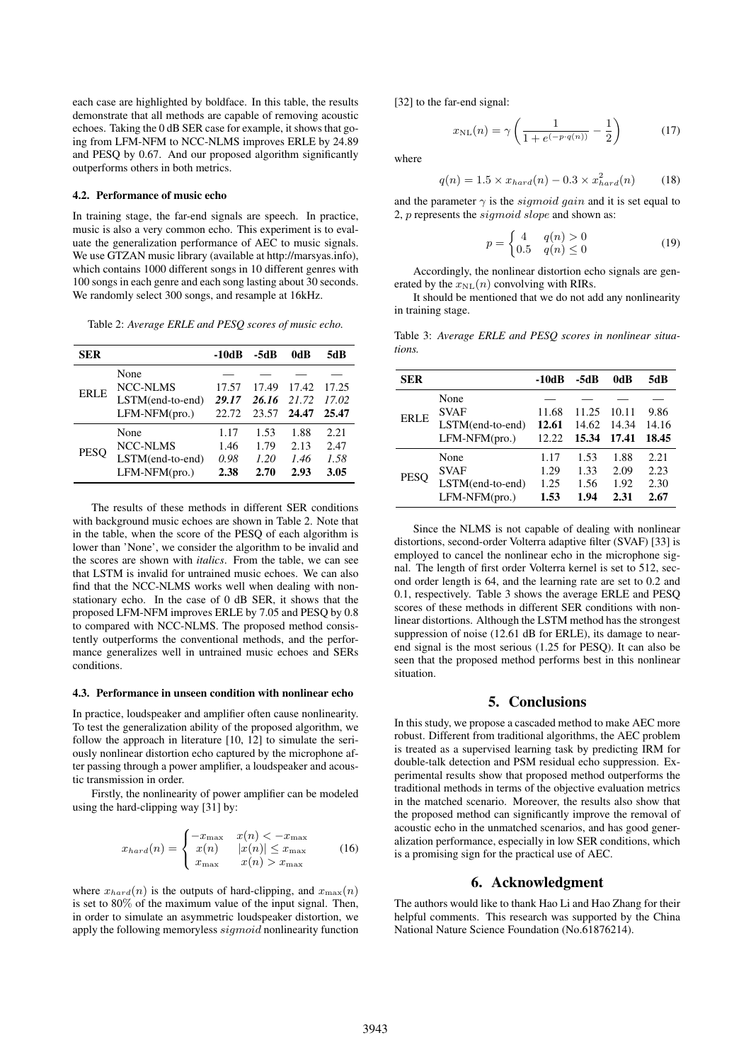each case are highlighted by boldface. In this table, the results demonstrate that all methods are capable of removing acoustic echoes. Taking the 0 dB SER case for example, it shows that going from LFM-NFM to NCC-NLMS improves ERLE by 24.89 and PESQ by 0.67. And our proposed algorithm significantly outperforms others in both metrics.

#### 4.2. Performance of music echo

In training stage, the far-end signals are speech. In practice, music is also a very common echo. This experiment is to evaluate the generalization performance of AEC to music signals. We use GTZAN music library (available at http://marsyas.info), which contains 1000 different songs in 10 different genres with 100 songs in each genre and each song lasting about 30 seconds. We randomly select 300 songs, and resample at 16kHz.

Table 2: *Average ERLE and PESQ scores of music echo.*

| <b>SER</b>  |                                                                | -10dB                        | -5dB                         | 0dB                          | 5dB                          |
|-------------|----------------------------------------------------------------|------------------------------|------------------------------|------------------------------|------------------------------|
| ERLE        | None<br><b>NCC-NLMS</b><br>LSTM(end-to-end)<br>LFM-NFM(pro.)   | 17.57<br>29.17<br>22.72      | 17.49<br>26.16<br>23.57      | 17.42<br>21.72<br>24.47      | 17.25<br>17.02<br>25.47      |
| <b>PESO</b> | None<br><b>NCC-NLMS</b><br>LSTM(end-to-end)<br>$LFM-NFM(pro.)$ | 1.17<br>1.46<br>0.98<br>2.38 | 1.53<br>1.79<br>1.20<br>2.70 | 1.88<br>2.13<br>1.46<br>2.93 | 2.21<br>2.47<br>1.58<br>3.05 |

The results of these methods in different SER conditions with background music echoes are shown in Table 2. Note that in the table, when the score of the PESQ of each algorithm is lower than 'None', we consider the algorithm to be invalid and the scores are shown with *italics*. From the table, we can see that LSTM is invalid for untrained music echoes. We can also find that the NCC-NLMS works well when dealing with nonstationary echo. In the case of 0 dB SER, it shows that the proposed LFM-NFM improves ERLE by 7.05 and PESQ by 0.8 to compared with NCC-NLMS. The proposed method consistently outperforms the conventional methods, and the performance generalizes well in untrained music echoes and SERs conditions.

#### 4.3. Performance in unseen condition with nonlinear echo

In practice, loudspeaker and amplifier often cause nonlinearity. To test the generalization ability of the proposed algorithm, we follow the approach in literature [10, 12] to simulate the seriously nonlinear distortion echo captured by the microphone after passing through a power amplifier, a loudspeaker and acoustic transmission in order.

Firstly, the nonlinearity of power amplifier can be modeled using the hard-clipping way [31] by:

$$
x_{hard}(n) = \begin{cases} -x_{\text{max}} & x(n) < -x_{\text{max}} \\ x(n) & |x(n)| \le x_{\text{max}} \\ x_{\text{max}} & x(n) > x_{\text{max}} \end{cases}
$$
(16)

where  $x_{hard}(n)$  is the outputs of hard-clipping, and  $x_{max}(n)$ is set to 80% of the maximum value of the input signal. Then, in order to simulate an asymmetric loudspeaker distortion, we apply the following memoryless sigmoid nonlinearity function [32] to the far-end signal:

$$
x_{\rm NL}(n) = \gamma \left( \frac{1}{1 + e^{(-p \cdot q(n))}} - \frac{1}{2} \right) \tag{17}
$$

where

$$
q(n) = 1.5 \times x_{hard}(n) - 0.3 \times x_{hard}^2(n) \tag{18}
$$

and the parameter  $\gamma$  is the *sigmoid gain* and it is set equal to 2, p represents the sigmoid slope and shown as:

$$
p = \begin{cases} 4 & q(n) > 0 \\ 0.5 & q(n) \le 0 \end{cases}
$$
\n
$$
(19)
$$

Accordingly, the nonlinear distortion echo signals are generated by the  $x_{\text{NL}}(n)$  convolving with RIRs.

It should be mentioned that we do not add any nonlinearity in training stage.

Table 3: *Average ERLE and PESQ scores in nonlinear situations.*

| <b>SER</b>  |                                                            | -10dB                        | -5dB                         | 0dB                          | 5dB                          |
|-------------|------------------------------------------------------------|------------------------------|------------------------------|------------------------------|------------------------------|
| <b>ERLE</b> | None<br><b>SVAF</b><br>LSTM(end-to-end)<br>$LFM-NFM(pro.)$ | 11.68<br>12.61<br>12.22      | 11.25<br>14.62<br>15.34      | 10.11<br>14.34<br>17.41      | 9.86<br>14.16<br>18.45       |
| <b>PESO</b> | None<br><b>SVAF</b><br>LSTM(end-to-end)<br>$LFM-NFM(pro.)$ | 1.17<br>1.29<br>1.25<br>1.53 | 1.53<br>1.33<br>1.56<br>1.94 | 1.88<br>2.09<br>1.92<br>2.31 | 2.21<br>2.23<br>2.30<br>2.67 |

Since the NLMS is not capable of dealing with nonlinear distortions, second-order Volterra adaptive filter (SVAF) [33] is employed to cancel the nonlinear echo in the microphone signal. The length of first order Volterra kernel is set to 512, second order length is 64, and the learning rate are set to 0.2 and 0.1, respectively. Table 3 shows the average ERLE and PESQ scores of these methods in different SER conditions with nonlinear distortions. Although the LSTM method has the strongest suppression of noise (12.61 dB for ERLE), its damage to nearend signal is the most serious (1.25 for PESQ). It can also be seen that the proposed method performs best in this nonlinear situation.

## 5. Conclusions

In this study, we propose a cascaded method to make AEC more robust. Different from traditional algorithms, the AEC problem is treated as a supervised learning task by predicting IRM for double-talk detection and PSM residual echo suppression. Experimental results show that proposed method outperforms the traditional methods in terms of the objective evaluation metrics in the matched scenario. Moreover, the results also show that the proposed method can significantly improve the removal of acoustic echo in the unmatched scenarios, and has good generalization performance, especially in low SER conditions, which is a promising sign for the practical use of AEC.

### 6. Acknowledgment

The authors would like to thank Hao Li and Hao Zhang for their helpful comments. This research was supported by the China National Nature Science Foundation (No.61876214).